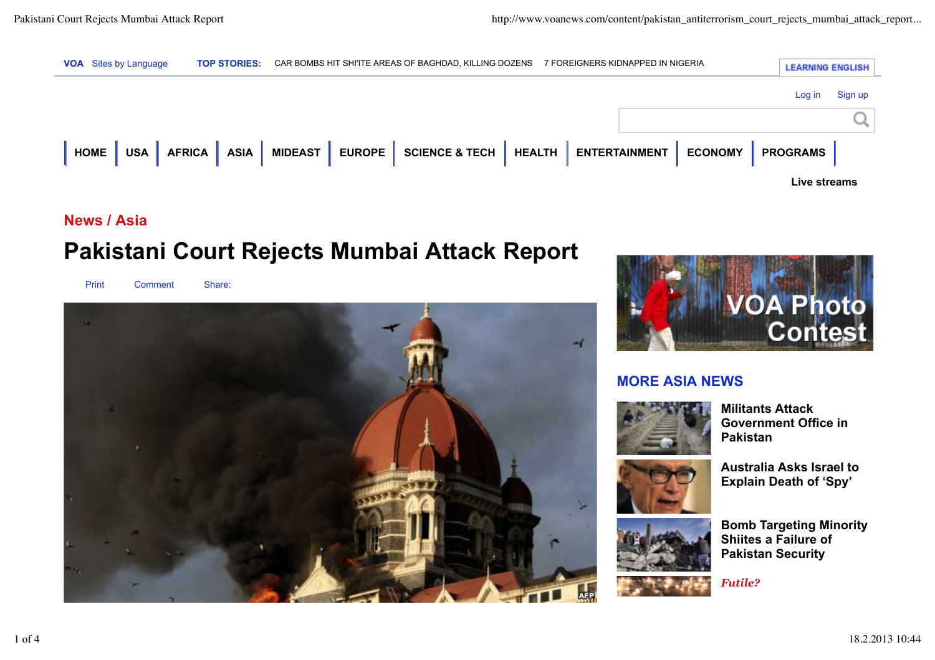

## **News / Asia**

# **Pakistani Court Rejects Mumbai Attack Report**

Print Comment Share:





## **MORE ASIA NEWS**



**Militants Attack Government Office in Pakistan**





**Bomb Targeting Minority Shiites a Failure of Pakistan Security**

*Futile?*

1 of 4 18.2.2013 10:44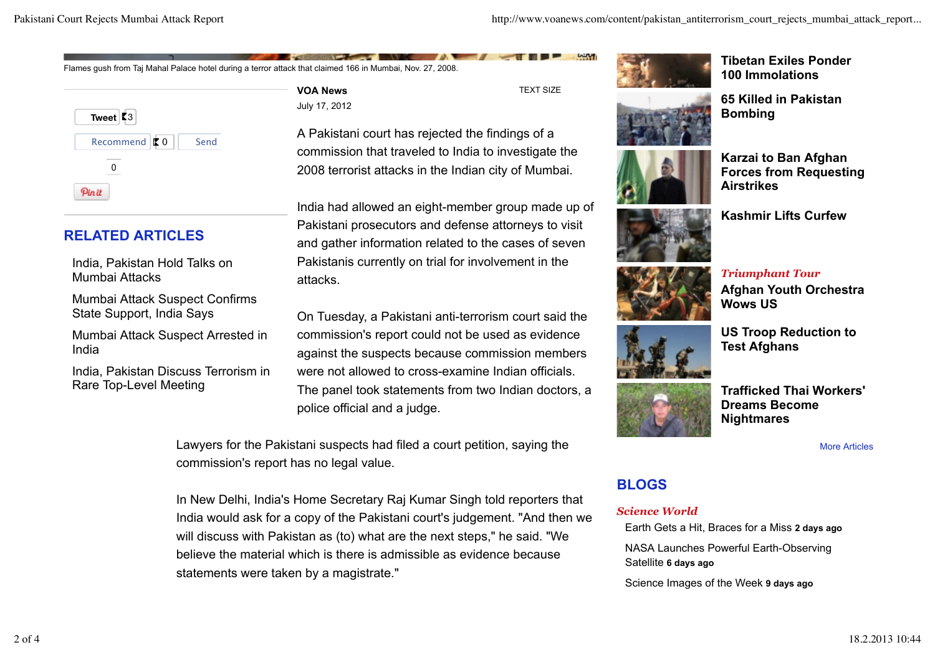Flames gush from Taj Mahal Palace hotel during a terror attack that claimed 166 in Mumbai, Nov. 27, 2008.

**Tweet**  $53$ Recommend  $\vert \phi 0 \vert$  Send 0 Pinit

# **RELATED ARTICLES**

India, Pakistan Hold Talks on Mumbai Attacks

Mumbai Attack Suspect Confirms State Support, India Says

Mumbai Attack Suspect Arrested in India

India, Pakistan Discuss Terrorism in Rare Top-Level Meeting

**VOA News** July 17, 2012 TEXT SIZE

**SAMP** 

A Pakistani court has rejected the findings of a commission that traveled to India to investigate the 2008 terrorist attacks in the Indian city of Mumbai.

India had allowed an eight-member group made up of Pakistani prosecutors and defense attorneys to visit and gather information related to the cases of seven Pakistanis currently on trial for involvement in the attacks.

On Tuesday, a Pakistani anti-terrorism court said the commission's report could not be used as evidence against the suspects because commission members were not allowed to cross-examine Indian officials. The panel took statements from two Indian doctors, a police official and a judge.

Lawyers for the Pakistani suspects had filed a court petition, saying the commission's report has no legal value.

In New Delhi, India's Home Secretary Raj Kumar Singh told reporters that India would ask for a copy of the Pakistani court's judgement. "And then we will discuss with Pakistan as (to) what are the next steps," he said. "We believe the material which is there is admissible as evidence because statements were taken by a magistrate."



**Tibetan Exiles Ponder 100 Immolations**

**65 Killed in Pakistan Bombing**



**Karzai to Ban Afghan Forces from Requesting Airstrikes**

**Kashmir Lifts Curfew**





*Triumphant Tour* **Afghan Youth Orchestra Wows US**



**US Troop Reduction to Test Afghans**

**Trafficked Thai Workers' Dreams Become Nightmares**

More Articles

## **BLOGS**

#### *Science World*

Earth Gets a Hit, Braces for a Miss **2 days ago**

NASA Launches Powerful Earth-Observing Satellite **6 days ago**

Science Images of the Week **9 days ago**